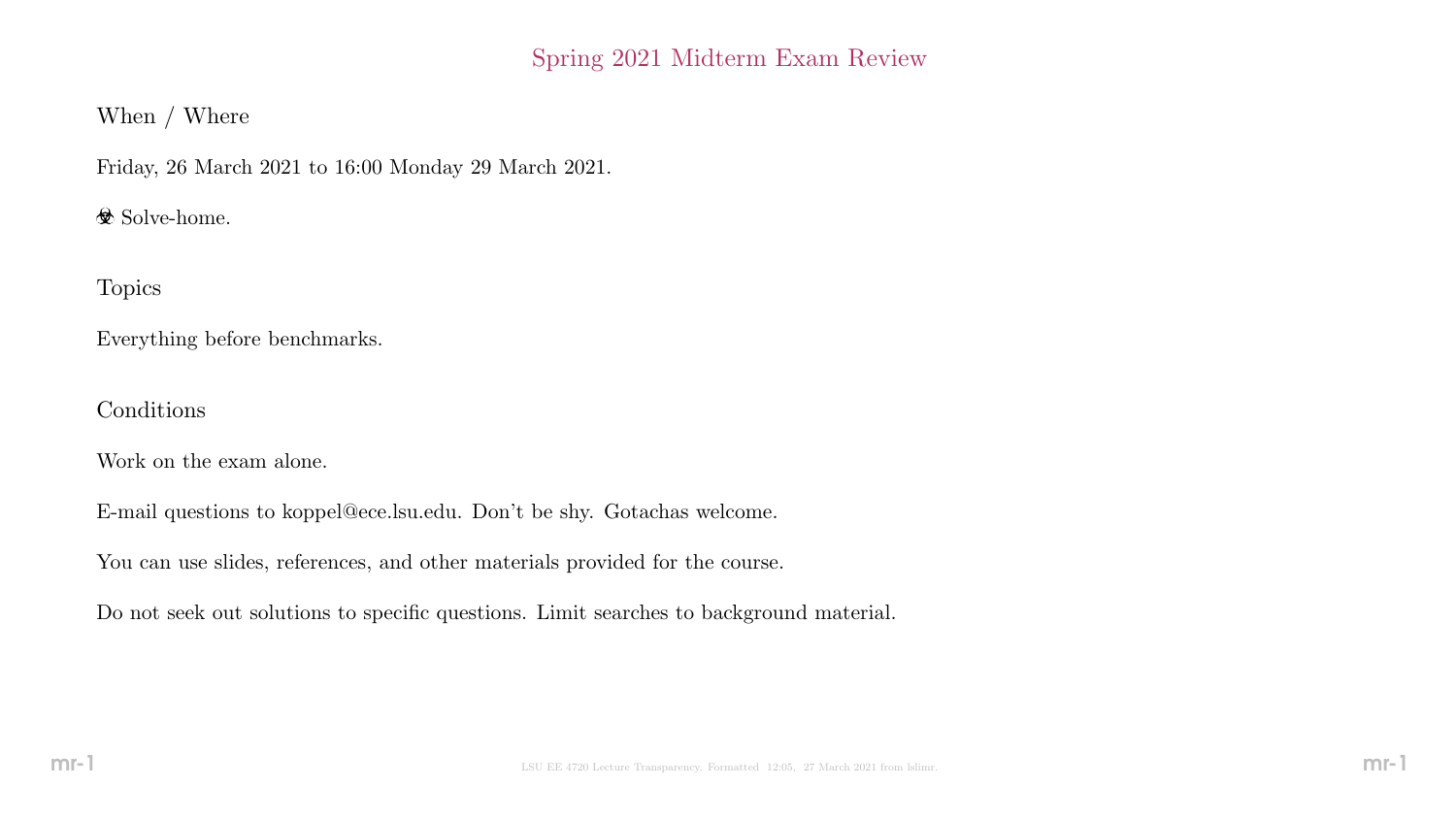## Spring 2021 Midterm Exam Review

## When / Where

Friday, 26 March 2021 to 16:00 Monday 29 March 2021.

 $\otimes$  Solve-home.

Topics

Everything before benchmarks.

Conditions

Work on the exam alone.

E-mail questions to koppel@ece.lsu.edu. Don't be shy. Gotachas welcome.

You can use slides, references, and other materials provided for the course.

Do not seek out solutions to specific questions. Limit searches to background material.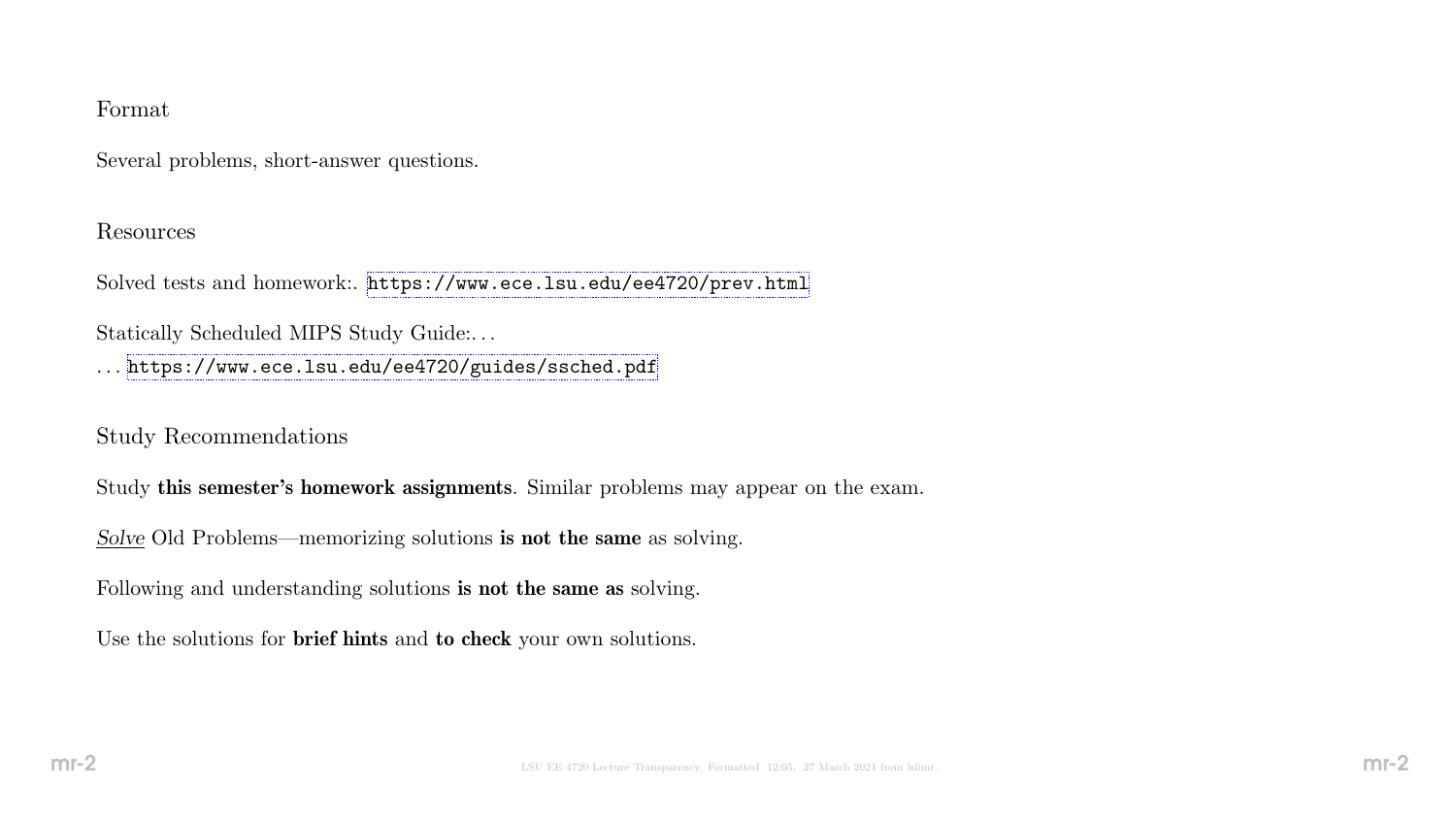### Format

Several problems, short-answer questions.

#### Resources

Solved tests and homework:. <https://www.ece.lsu.edu/ee4720/prev.html>

Statically Scheduled MIPS Study Guide:. . .

. . . <https://www.ece.lsu.edu/ee4720/guides/ssched.pdf>

Study Recommendations

Study this semester's homework assignments. Similar problems may appear on the exam.

Solve Old Problems—memorizing solutions is not the same as solving.

Following and understanding solutions is not the same as solving.

Use the solutions for brief hints and to check your own solutions.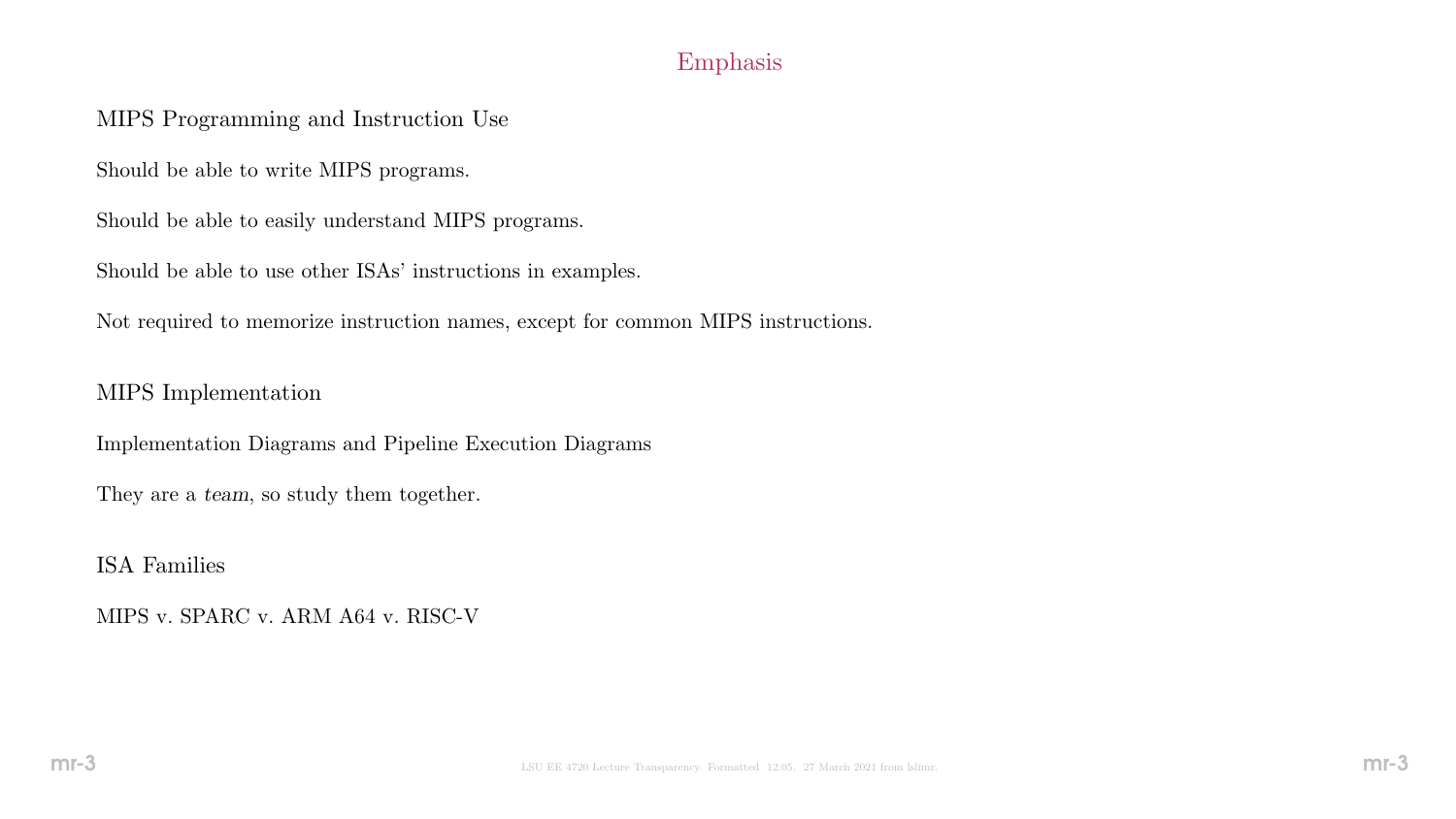# Emphasis

## MIPS Programming and Instruction Use

Should be able to write MIPS programs.

Should be able to easily understand MIPS programs.

Should be able to use other ISAs' instructions in examples.

Not required to memorize instruction names, except for common MIPS instructions.

### MIPS Implementation

Implementation Diagrams and Pipeline Execution Diagrams

They are a team, so study them together.

ISA Families

MIPS v. SPARC v. ARM A64 v. RISC-V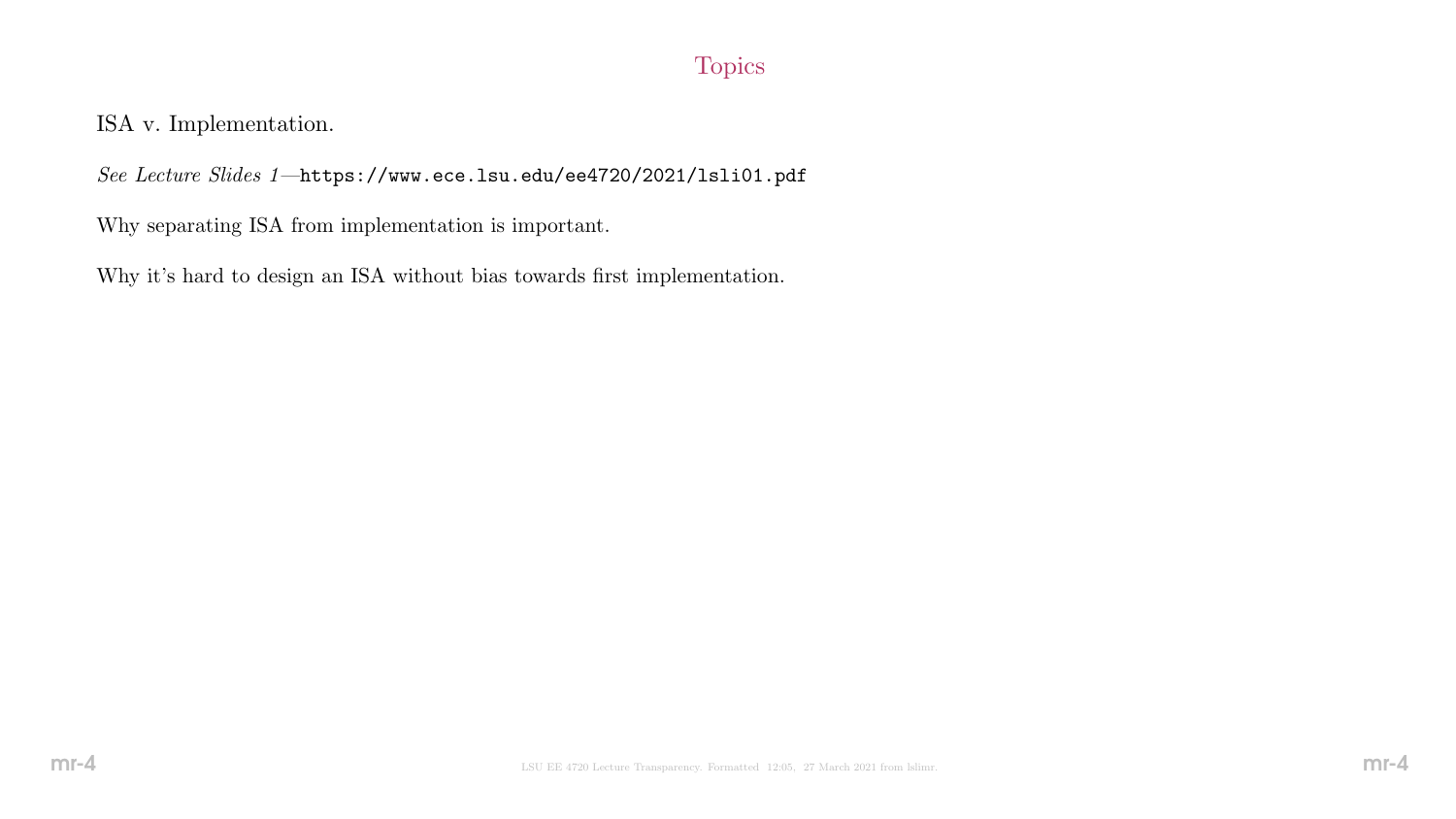# Topics

ISA v. Implementation.

See Lecture Slides 1—https://www.ece.lsu.edu/ee4720/2021/lsli01.pdf

Why separating ISA from implementation is important.

Why it's hard to design an ISA without bias towards first implementation.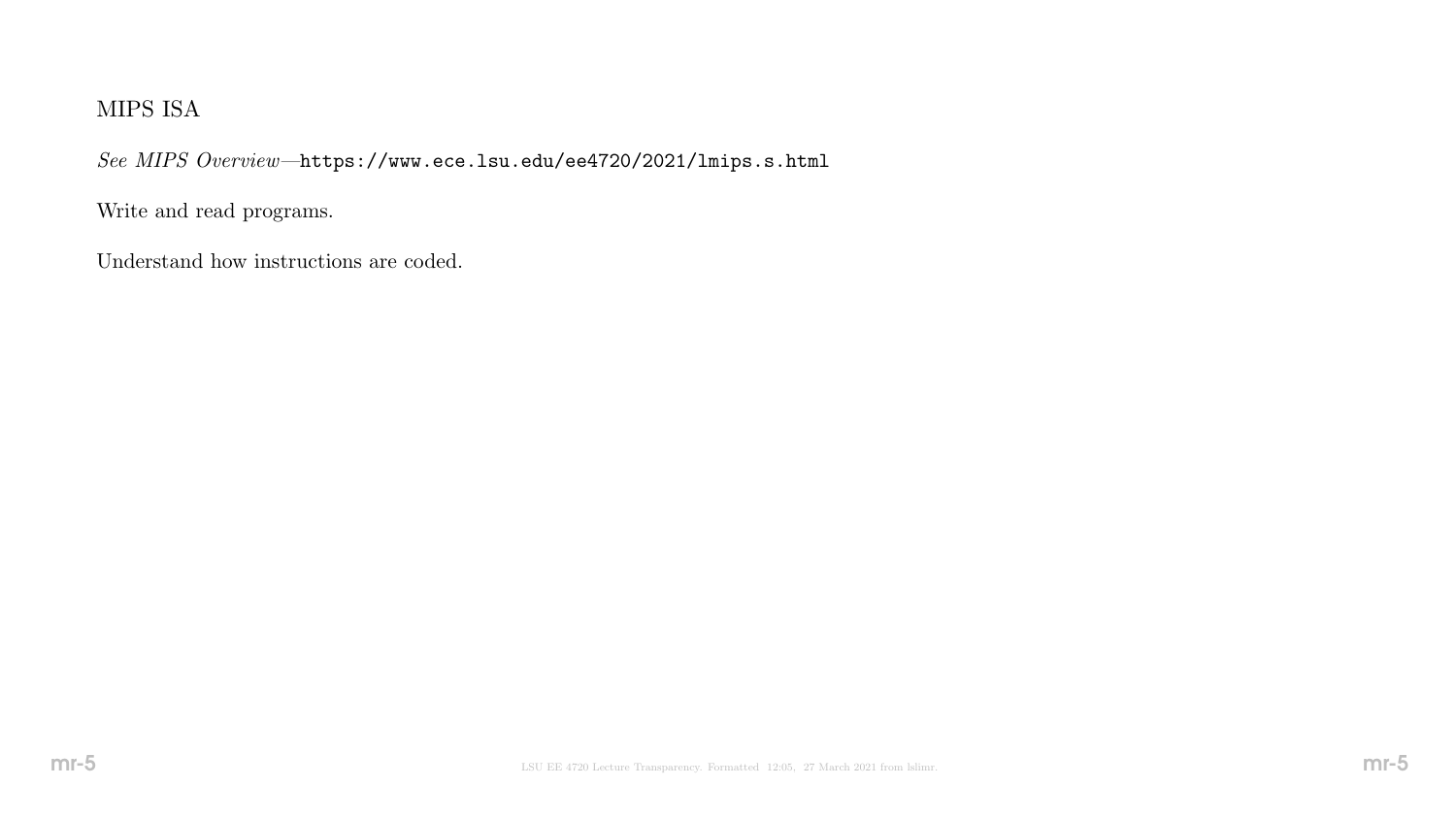# MIPS ISA

See MIPS Overview—https://www.ece.lsu.edu/ee4720/2021/lmips.s.html

Write and read programs.

Understand how instructions are coded.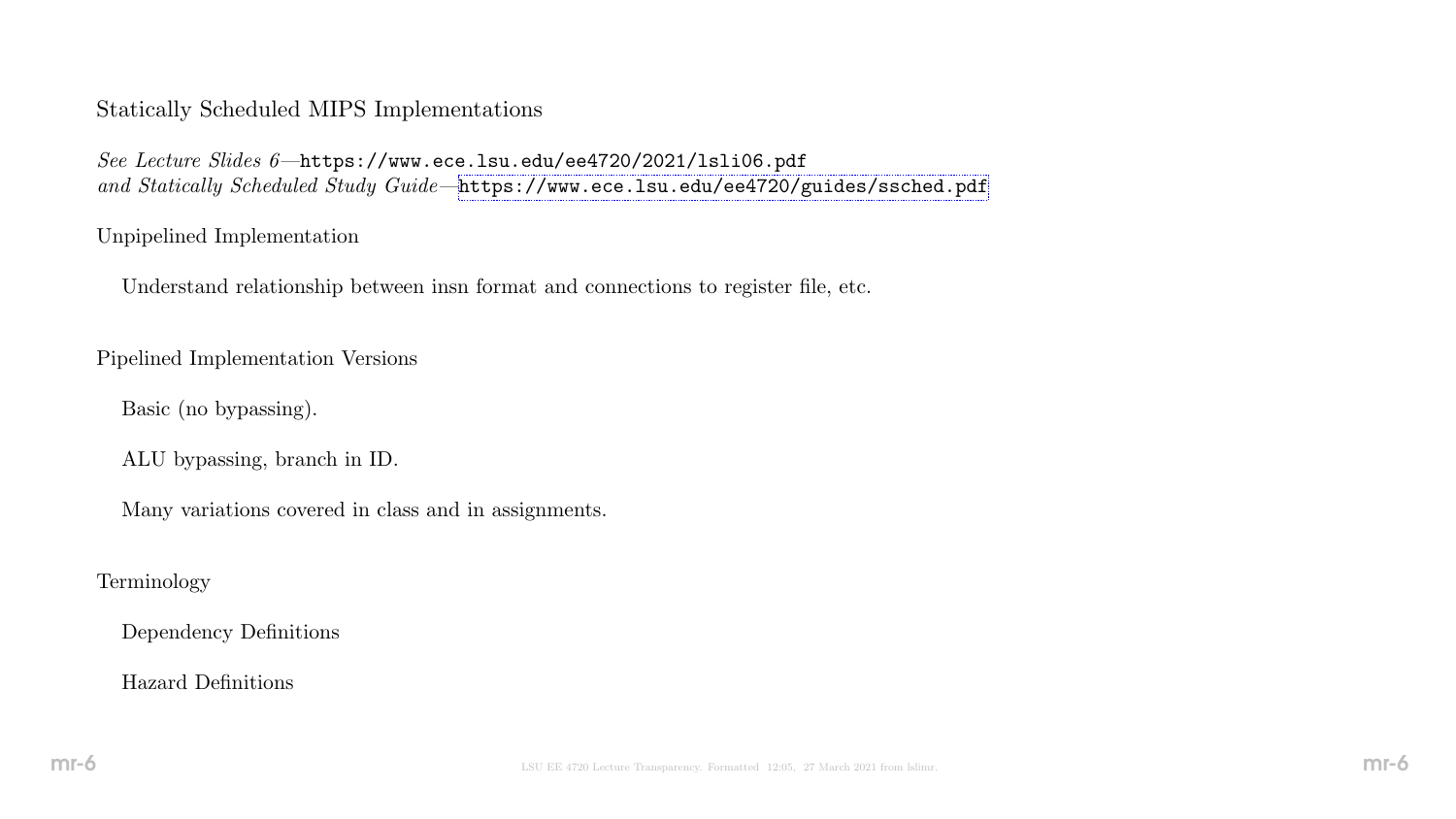### Statically Scheduled MIPS Implementations

See Lecture Slides 6—https://www.ece.lsu.edu/ee4720/2021/lsli06.pdf and Statically Scheduled Study Guide-<https://www.ece.lsu.edu/ee4720/guides/ssched.pdf>

#### Unpipelined Implementation

Understand relationship between insn format and connections to register file, etc.

Pipelined Implementation Versions

Basic (no bypassing).

ALU bypassing, branch in ID.

Many variations covered in class and in assignments.

### Terminology

Dependency Definitions

### Hazard Definitions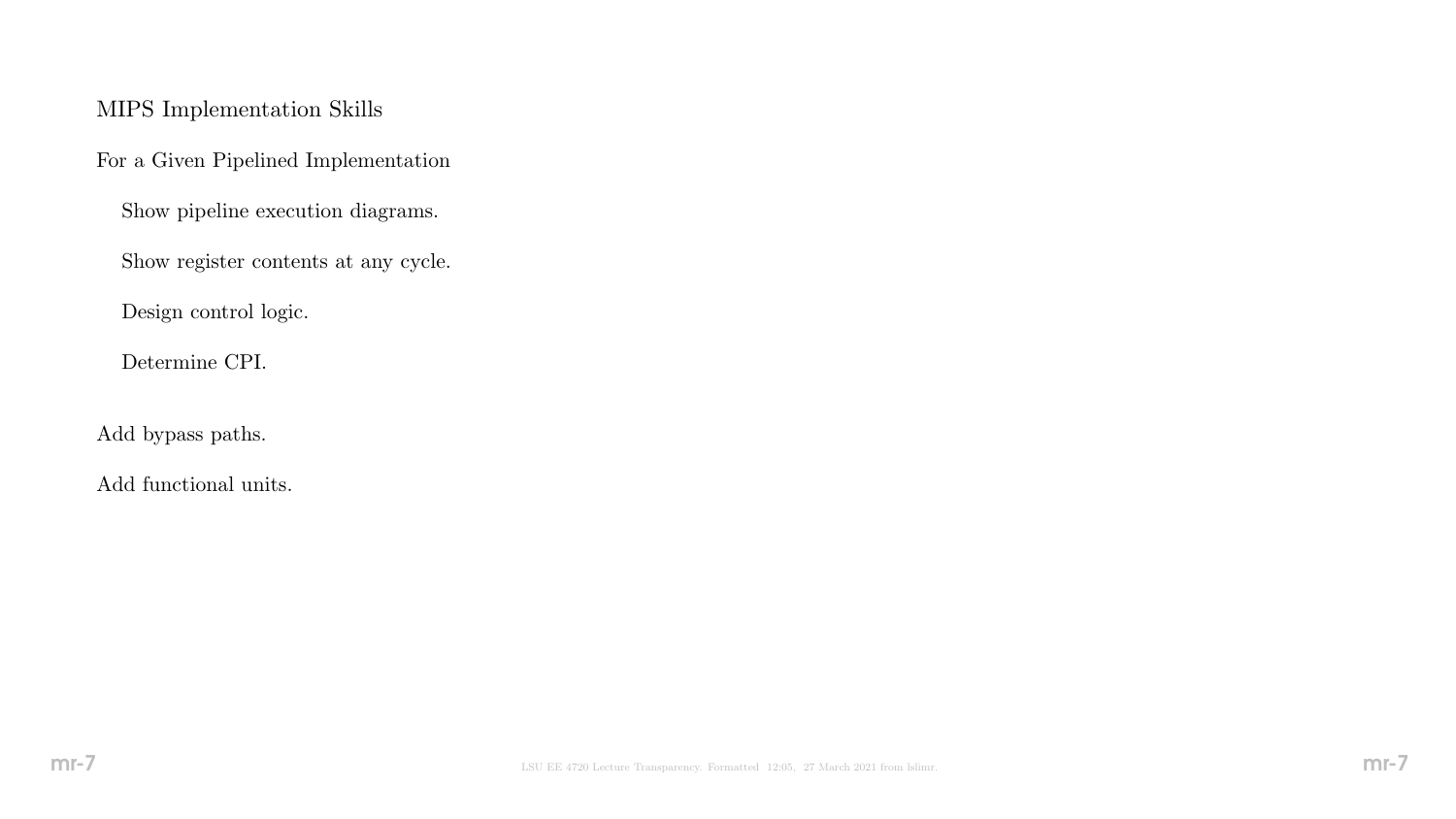### MIPS Implementation Skills

For a Given Pipelined Implementation

Show pipeline execution diagrams.

Show register contents at any cycle.

Design control logic.

Determine CPI.

Add bypass paths.

Add functional units.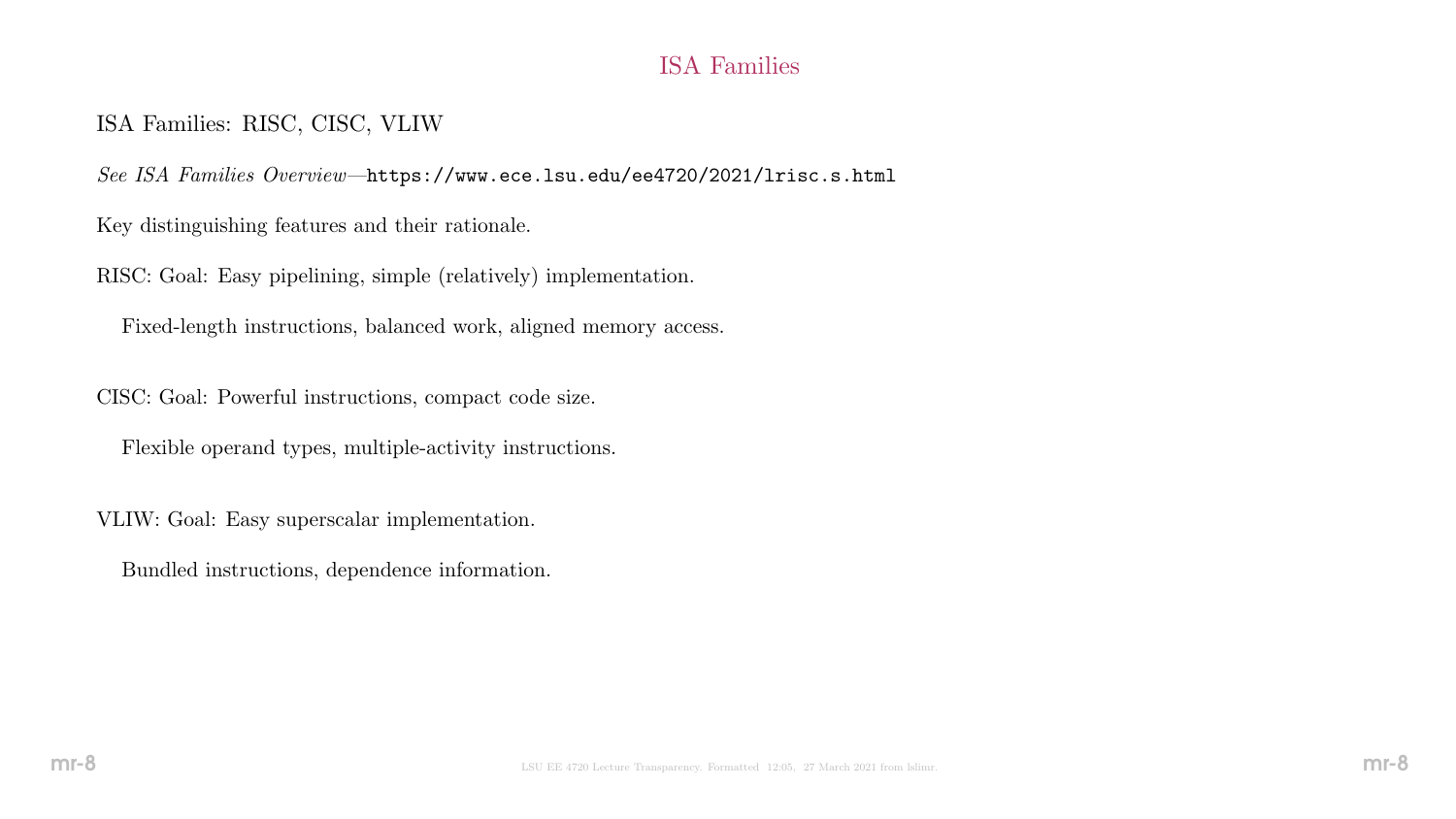# ISA Families

## ISA Families: RISC, CISC, VLIW

See ISA Families Overview—https://www.ece.lsu.edu/ee4720/2021/lrisc.s.html

Key distinguishing features and their rationale.

RISC: Goal: Easy pipelining, simple (relatively) implementation.

Fixed-length instructions, balanced work, aligned memory access.

CISC: Goal: Powerful instructions, compact code size.

Flexible operand types, multiple-activity instructions.

VLIW: Goal: Easy superscalar implementation.

Bundled instructions, dependence information.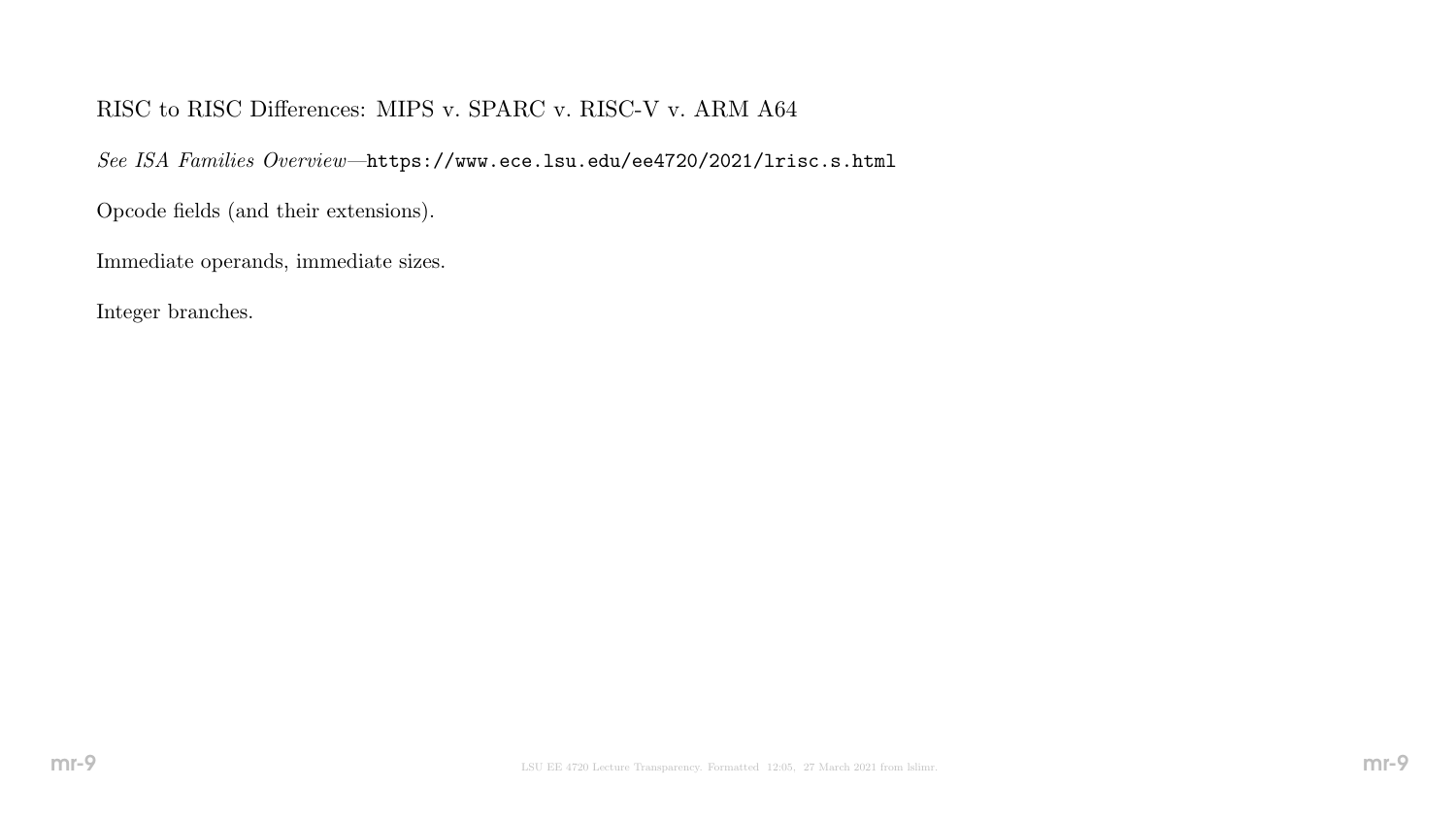# RISC to RISC Differences: MIPS v. SPARC v. RISC-V v. ARM A64

See ISA Families Overview—https://www.ece.lsu.edu/ee4720/2021/lrisc.s.html

Opcode fields (and their extensions).

Immediate operands, immediate sizes.

Integer branches.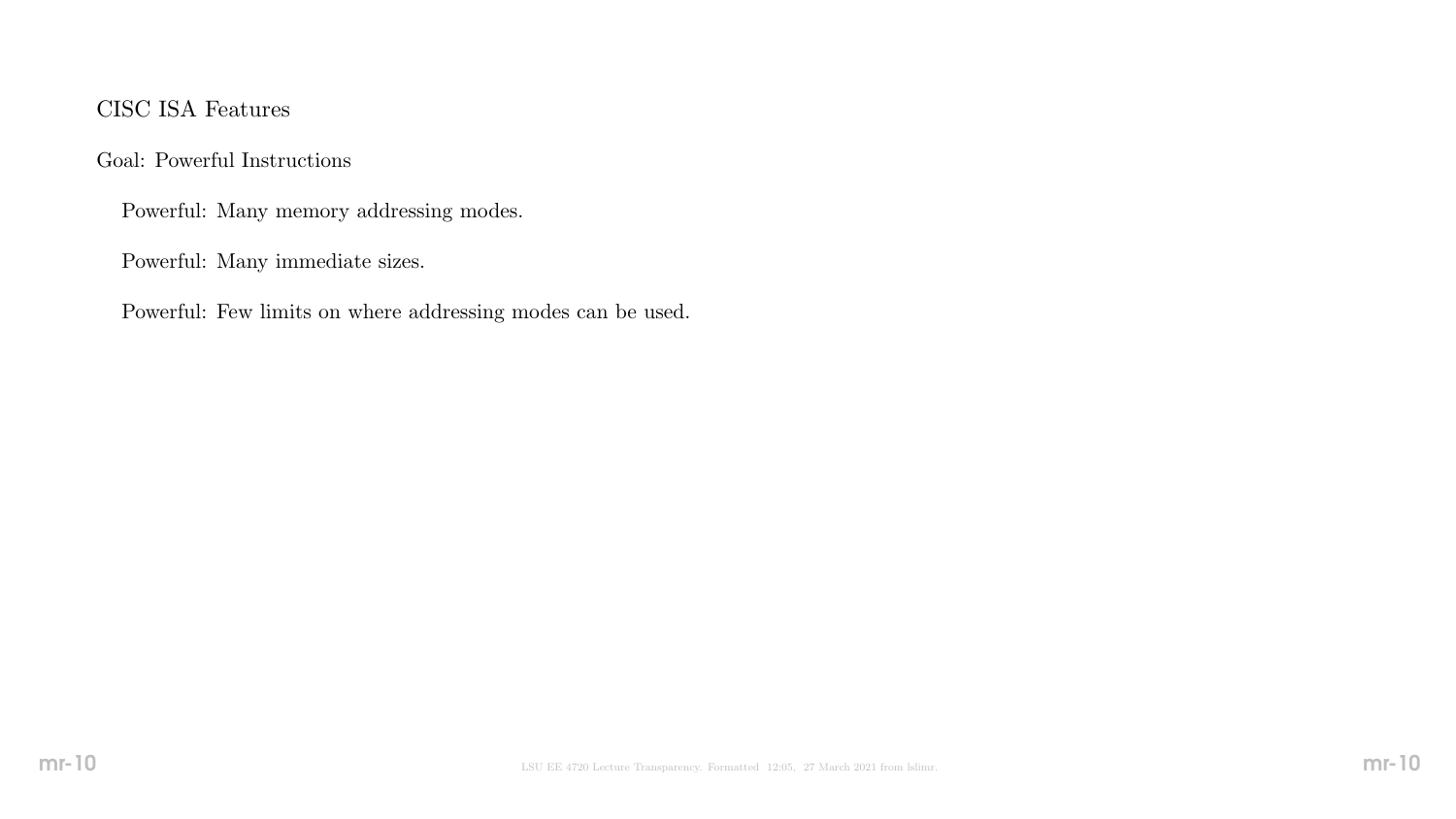## CISC ISA Features

Goal: Powerful Instructions

Powerful: Many memory addressing modes.

Powerful: Many immediate sizes.

Powerful: Few limits on where addressing modes can be used.